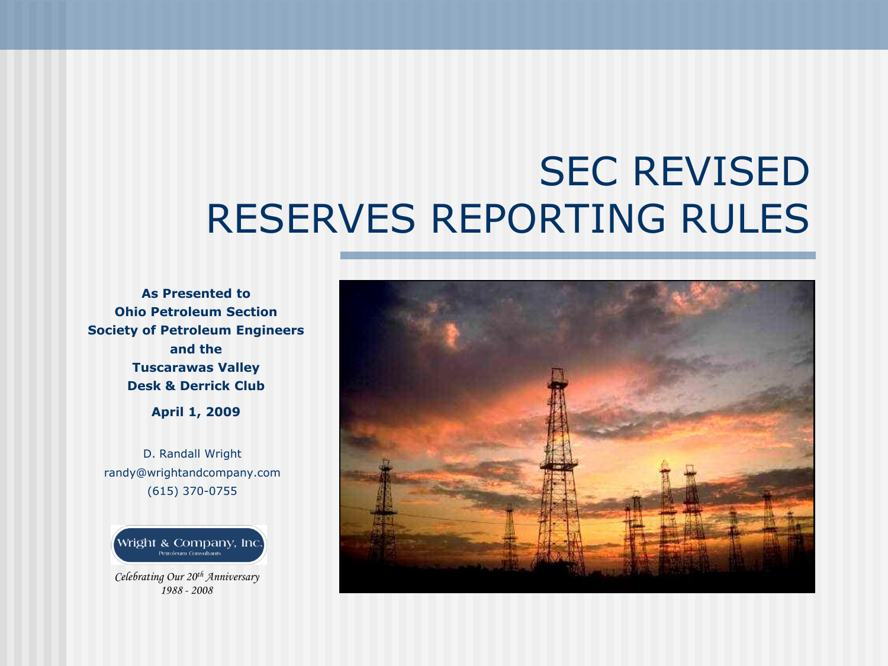# SEC REVISED RESERVES REPORTING RULES

**As Presented to Ohio Petroleum Section Society of Petroleum Engineers and the Tuscarawas Valley Desk & Derrick Club**

**April 1, 2009**

D. Randall Wright randy@wrightandcompany.com (615) 370-0755

Wright & Company, Inc.

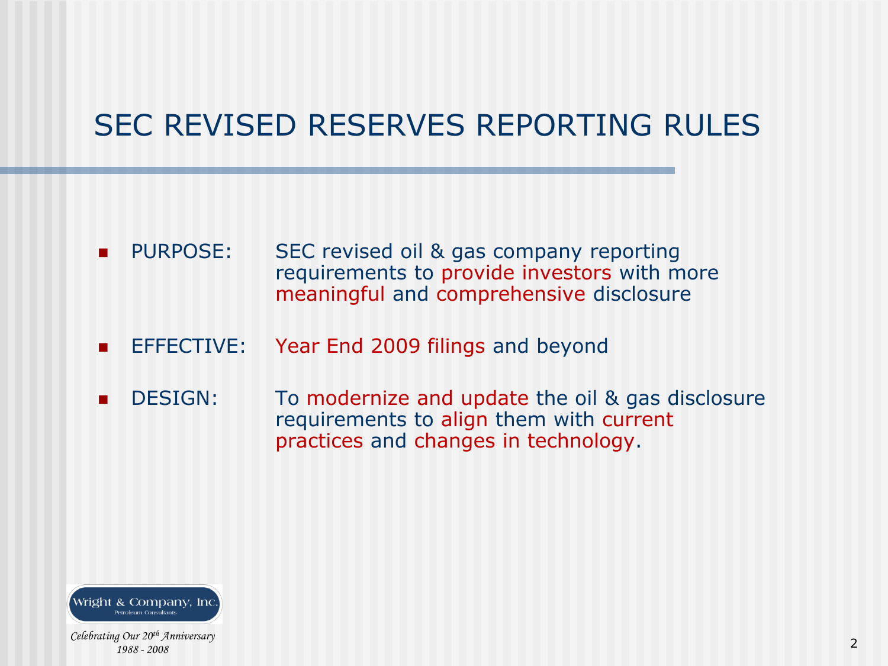# SEC REVISED RESERVES REPORTING RULES

- **PURPOSE:** SEC revised oil & gas company reporting requirements to provide investors with more meaningful and comprehensive disclosure
- **EFFECTIVE:** Year End 2009 filings and beyond
- **DESIGN:** To modernize and update the oil & gas disclosure requirements to align them with current practices and changes in technology.

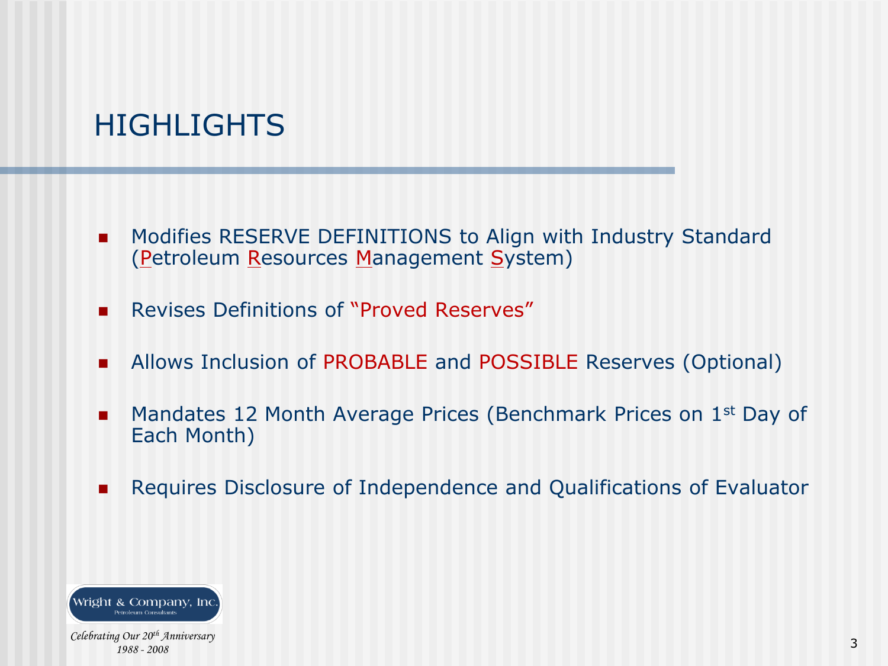## **HIGHLIGHTS**

- **Modifies RESERVE DEFINITIONS to Align with Industry Standard** (Petroleum Resources Management System)
- **Revises Definitions of "Proved Reserves"**
- **Allows Inclusion of PROBABLE and POSSIBLE Reserves (Optional)**
- **Mandates 12 Month Average Prices (Benchmark Prices on 1st Day of** Each Month)
- **Requires Disclosure of Independence and Qualifications of Evaluator**

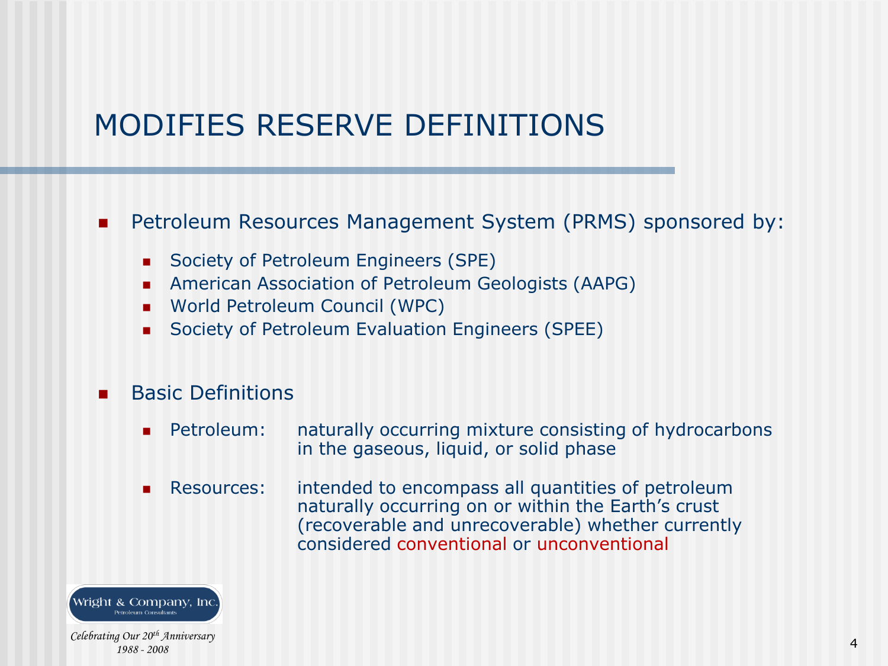## MODIFIES RESERVE DEFINITIONS

#### **Petroleum Resources Management System (PRMS) sponsored by:**

- Society of Petroleum Engineers (SPE)
- American Association of Petroleum Geologists (AAPG)
- World Petroleum Council (WPC)
- Society of Petroleum Evaluation Engineers (SPEE)
- Basic Definitions
	- **Petroleum:** naturally occurring mixture consisting of hydrocarbons in the gaseous, liquid, or solid phase
	- Resources: intended to encompass all quantities of petroleum naturally occurring on or within the Earth's crust (recoverable and unrecoverable) whether currently considered conventional or unconventional

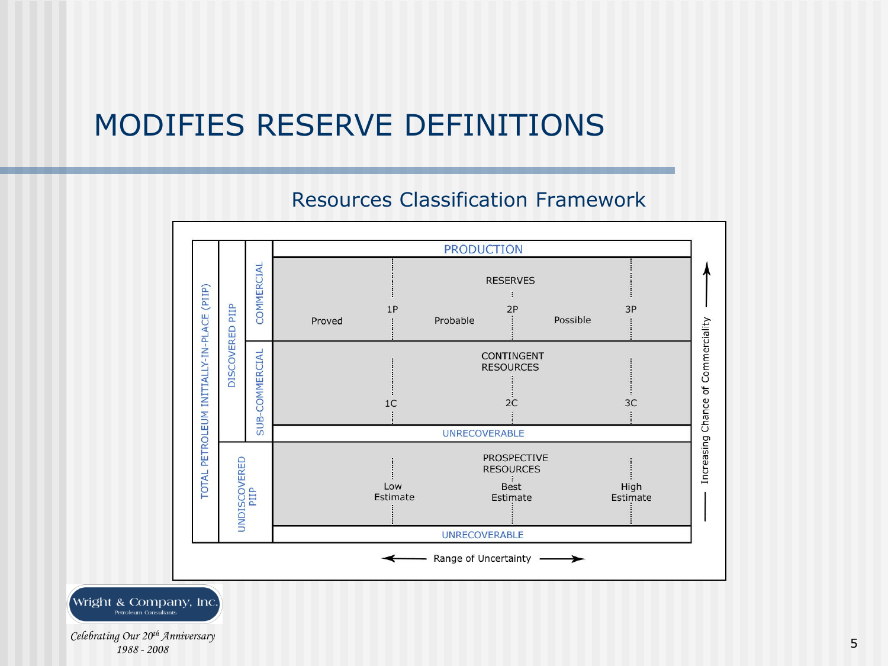### MODIFIES RESERVE DEFINITIONS

#### Resources Classification Framework

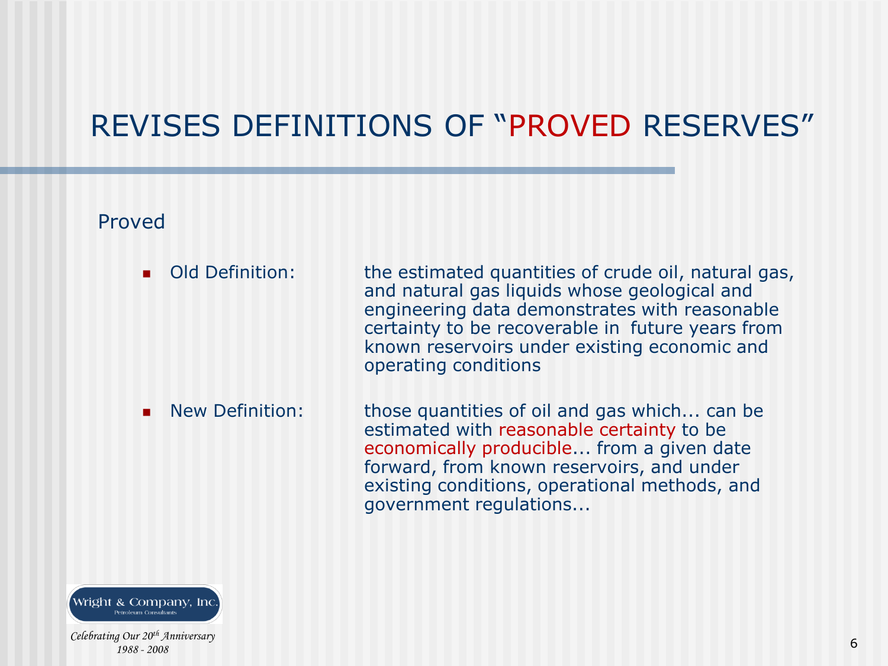#### Proved

**Old Definition:** the estimated quantities of crude oil, natural gas, and natural gas liquids whose geological and engineering data demonstrates with reasonable certainty to be recoverable in future years from known reservoirs under existing economic and operating conditions

 New Definition: those quantities of oil and gas which... can be estimated with reasonable certainty to be economically producible... from a given date forward, from known reservoirs, and under existing conditions, operational methods, and government regulations...

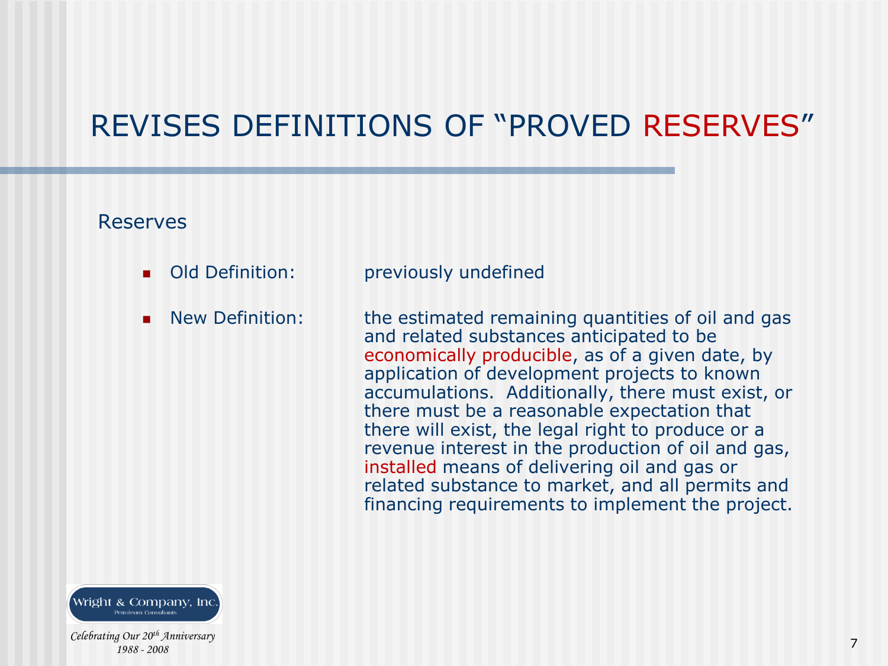#### Reserves

- 
- 

**Old Definition:** previously undefined

 New Definition: the estimated remaining quantities of oil and gas and related substances anticipated to be economically producible, as of a given date, by application of development projects to known accumulations. Additionally, there must exist, or there must be a reasonable expectation that there will exist, the legal right to produce or a revenue interest in the production of oil and gas, installed means of delivering oil and gas or related substance to market, and all permits and financing requirements to implement the project.

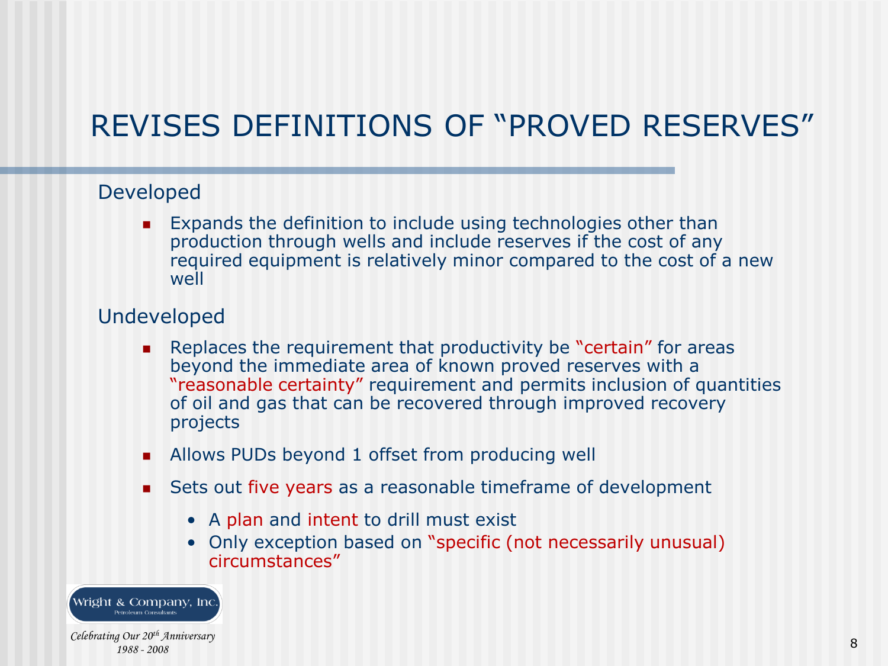#### Developed

 Expands the definition to include using technologies other than production through wells and include reserves if the cost of any required equipment is relatively minor compared to the cost of a new well

#### Undeveloped

- **Replaces the requirement that productivity be "certain" for areas** beyond the immediate area of known proved reserves with a "reasonable certainty" requirement and permits inclusion of quantities of oil and gas that can be recovered through improved recovery projects
- Allows PUDs beyond 1 offset from producing well
- Sets out five years as a reasonable timeframe of development
	- A plan and intent to drill must exist
	- Only exception based on "specific (not necessarily unusual) circumstances"

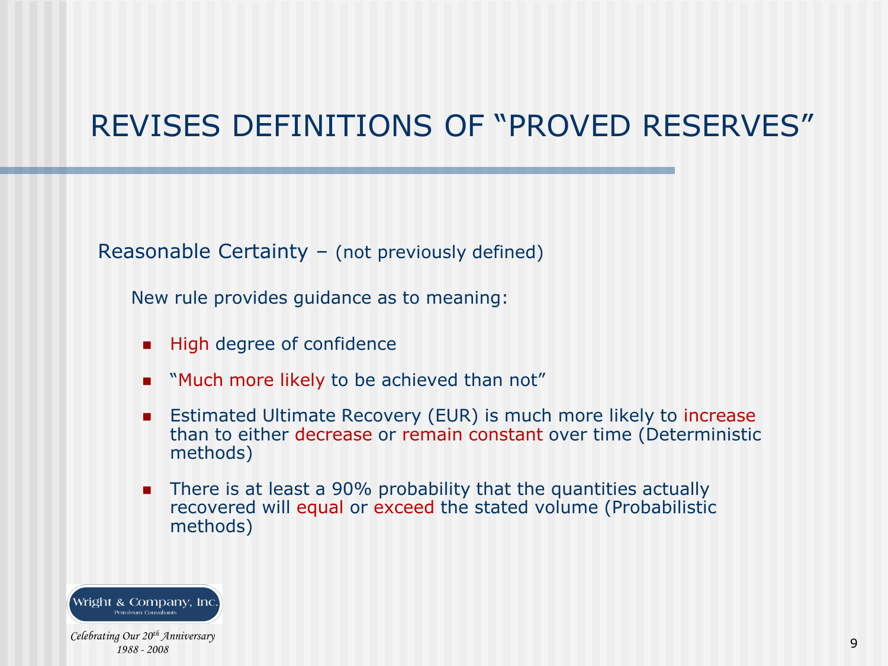Reasonable Certainty – (not previously defined)

New rule provides guidance as to meaning:

- **High degree of confidence**
- **Nuch more likely to be achieved than not**"
- **Estimated Ultimate Recovery (EUR) is much more likely to increase** than to either decrease or remain constant over time (Deterministic methods)
- **There is at least a 90% probability that the quantities actually** recovered will equal or exceed the stated volume (Probabilistic methods)

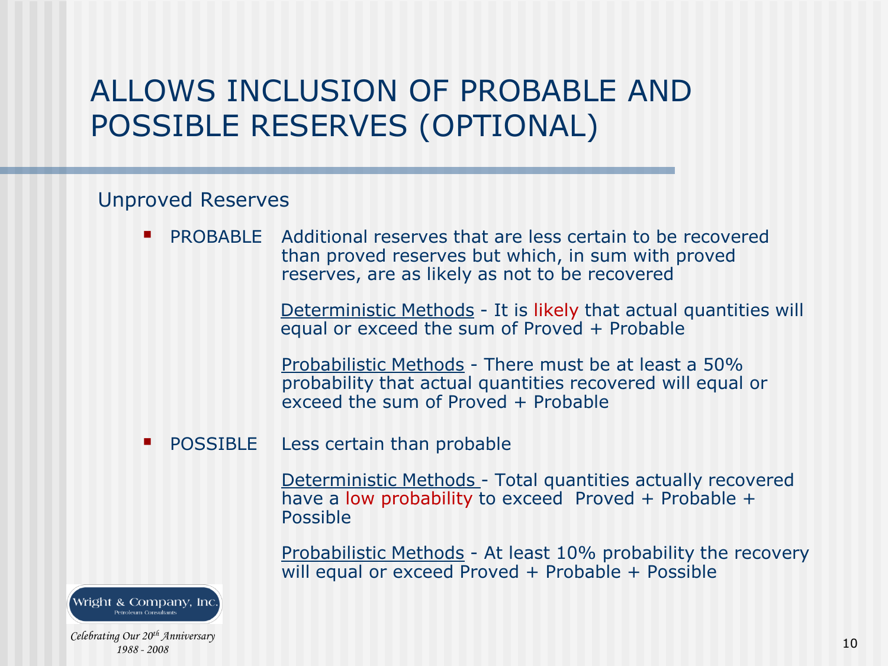## ALLOWS INCLUSION OF PROBABLE AND POSSIBLE RESERVES (OPTIONAL)

#### Unproved Reserves

**PROBABLE** Additional reserves that are less certain to be recovered than proved reserves but which, in sum with proved reserves, are as likely as not to be recovered

> Deterministic Methods - It is likely that actual quantities will equal or exceed the sum of Proved + Probable

Probabilistic Methods - There must be at least a 50% probability that actual quantities recovered will equal or exceed the sum of Proved + Probable

POSSIBLE Less certain than probable

Deterministic Methods - Total quantities actually recovered have a low probability to exceed Proved + Probable + Possible

Probabilistic Methods - At least 10% probability the recovery will equal or exceed Proved + Probable + Possible

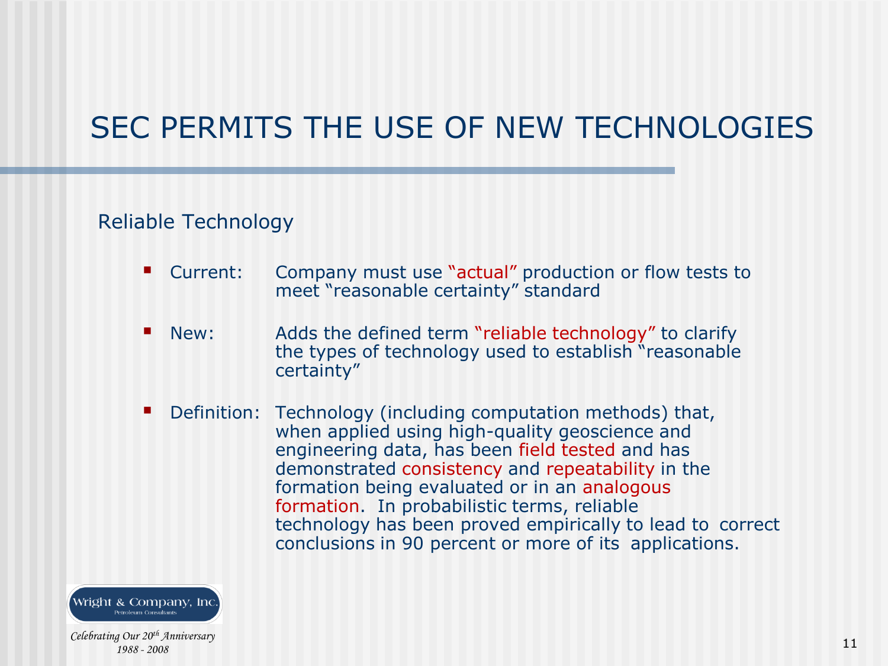# SEC PERMITS THE USE OF NEW TECHNOLOGIES

#### Reliable Technology

- Current: Company must use "actual" production or flow tests to meet "reasonable certainty" standard
- New: Adds the defined term "reliable technology" to clarify the types of technology used to establish "reasonable certainty"
- Definition: Technology (including computation methods) that, when applied using high-quality geoscience and engineering data, has been field tested and has demonstrated consistency and repeatability in the formation being evaluated or in an analogous formation. In probabilistic terms, reliable technology has been proved empirically to lead to correct conclusions in 90 percent or more of its applications.

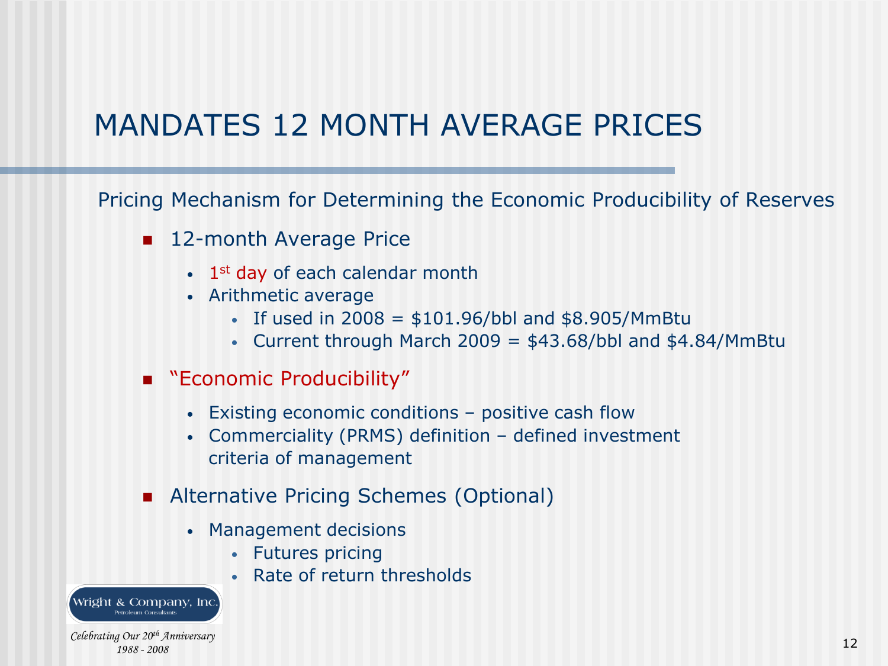## MANDATES 12 MONTH AVERAGE PRICES

Pricing Mechanism for Determining the Economic Producibility of Reserves

- 12-month Average Price
	- $\cdot$  1<sup>st</sup> day of each calendar month
	- Arithmetic average
		- If used in  $2008 = $101.96/bbl$  and  $$8.905/MmBtu$
		- Current through March 2009 =  $$43.68/bbl$  and  $$4.84/MmBtu$
- **EXALGO EXAMPLE Producibility**"
	- Existing economic conditions positive cash flow
	- Commerciality (PRMS) definition defined investment criteria of management
- **Alternative Pricing Schemes (Optional)** 
	- Management decisions
		- Futures pricing
		- Rate of return thresholds

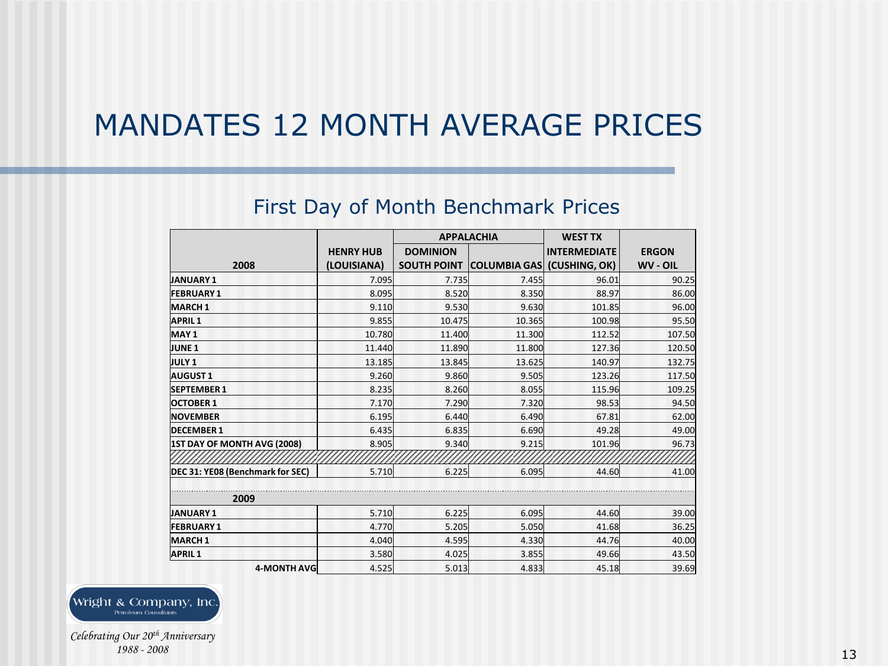### MANDATES 12 MONTH AVERAGE PRICES

#### First Day of Month Benchmark Prices

|                                  |                  | <b>APPALACHIA</b>  |                            | <b>WEST TX</b>      |              |
|----------------------------------|------------------|--------------------|----------------------------|---------------------|--------------|
|                                  | <b>HENRY HUB</b> | <b>DOMINION</b>    |                            | <b>INTERMEDIATE</b> | <b>ERGON</b> |
| 2008                             | (LOUISIANA)      | <b>SOUTH POINT</b> | COLUMBIA GAS (CUSHING, OK) |                     | WV - OIL     |
| JANUARY 1                        | 7.095            | 7.735              | 7.455                      | 96.01               | 90.25        |
| <b>FEBRUARY 1</b>                | 8.095            | 8.520              | 8.350                      | 88.97               | 86.00        |
| <b>MARCH1</b>                    | 9.110            | 9.530              | 9.630                      | 101.85              | 96.00        |
| <b>APRIL1</b>                    | 9.855            | 10.475             | 10.365                     | 100.98              | 95.50        |
| MAY <sub>1</sub>                 | 10.780           | 11.400             | 11.300                     | 112.52              | 107.50       |
| JUNE <sub>1</sub>                | 11.440           | 11.890             | 11.800                     | 127.36              | 120.50       |
| <b>JULY 1</b>                    | 13.185           | 13.845             | 13.625                     | 140.97              | 132.75       |
| <b>AUGUST1</b>                   | 9.260            | 9.860              | 9.505                      | 123.26              | 117.50       |
| <b>SEPTEMBER 1</b>               | 8.235            | 8.260              | 8.055                      | 115.96              | 109.25       |
| <b>OCTOBER 1</b>                 | 7.170            | 7.290              | 7.320                      | 98.53               | 94.50        |
| <b>NOVEMBER</b>                  | 6.195            | 6.440              | 6.490                      | 67.81               | 62.00        |
| <b>DECEMBER 1</b>                | 6.435            | 6.835              | 6.690                      | 49.28               | 49.00        |
| 1ST DAY OF MONTH AVG (2008)      | 8.905            | 9.340              | 9.215                      | 101.96              | 96.73        |
|                                  |                  |                    |                            |                     |              |
| DEC 31: YE08 (Benchmark for SEC) | 5.710            | 6.225              | 6.095                      | 44.60               | 41.00        |
| 2009                             |                  |                    |                            |                     |              |
| JANUARY 1                        | 5.710            | 6.225              | 6.095                      | 44.60               | 39.00        |
| <b>FEBRUARY 1</b>                | 4.770            | 5.205              | 5.050                      | 41.68               | 36.25        |
| MARCH <sub>1</sub>               | 4.040            | 4.595              | 4.330                      | 44.76               | 40.00        |
| <b>APRIL1</b>                    | 3.580            | 4.025              | 3.855                      | 49.66               | 43.50        |
| <b>4-MONTH AVG</b>               | 4.525            | 5.013              | 4.833                      | 45.18               | 39.69        |

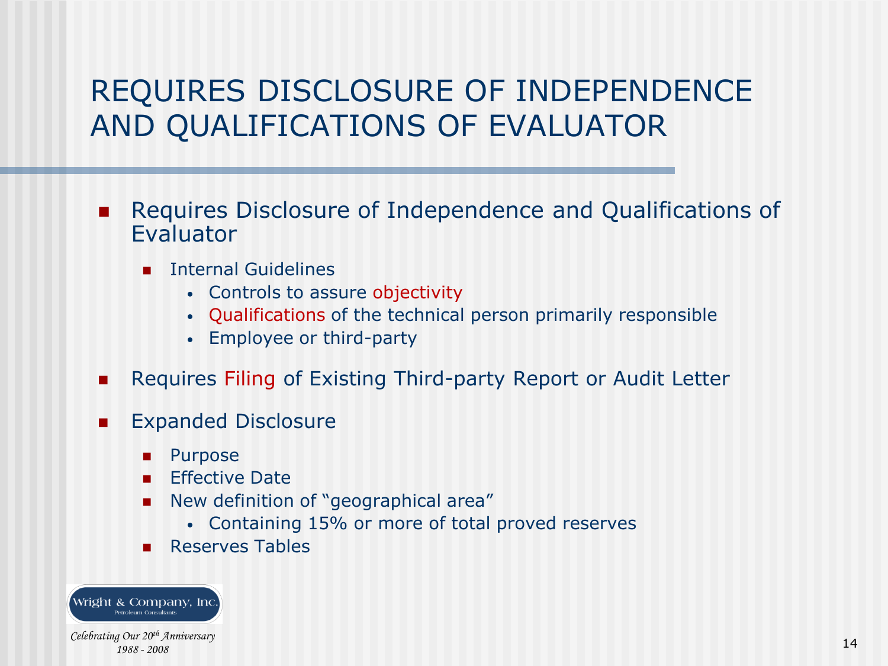## REQUIRES DISCLOSURE OF INDEPENDENCE AND QUALIFICATIONS OF EVALUATOR

- **Requires Disclosure of Independence and Qualifications of** Evaluator
	- **Internal Guidelines** 
		- Controls to assure objectivity
		- Qualifications of the technical person primarily responsible
		- Employee or third-party
- Requires Filing of Existing Third-party Report or Audit Letter
- **Expanded Disclosure** 
	- Purpose
	- Effective Date
	- New definition of "geographical area"
		- Containing 15% or more of total proved reserves
	- **Reserves Tables**

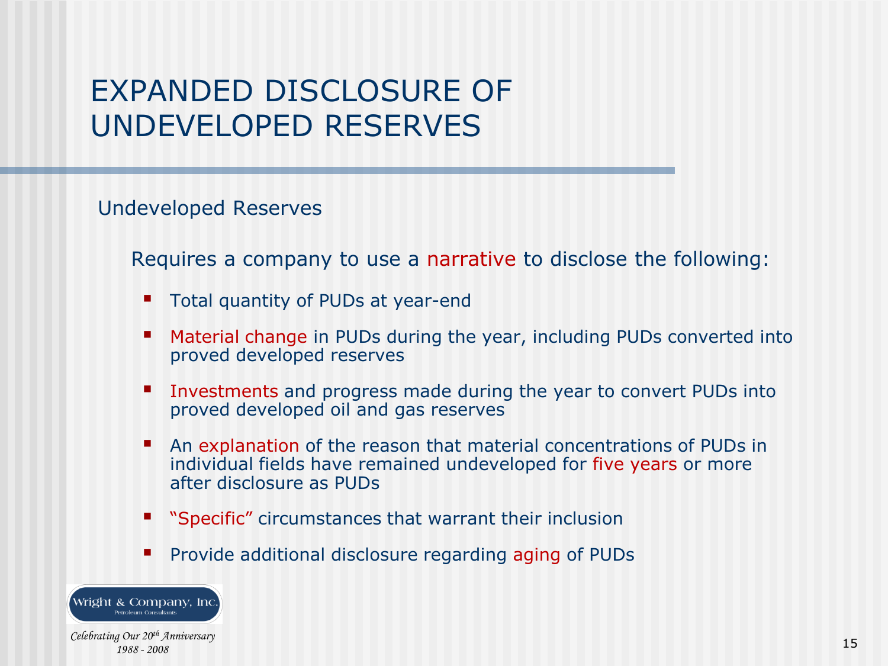## EXPANDED DISCLOSURE OF UNDEVELOPED RESERVES

Undeveloped Reserves

Requires a company to use a narrative to disclose the following:

- Total quantity of PUDs at year-end
- Material change in PUDs during the year, including PUDs converted into proved developed reserves
- Investments and progress made during the year to convert PUDs into proved developed oil and gas reserves
- An explanation of the reason that material concentrations of PUDs in individual fields have remained undeveloped for five years or more after disclosure as PUDs
- "Specific" circumstances that warrant their inclusion
- Provide additional disclosure regarding aging of PUDs



*1988 - 2008*